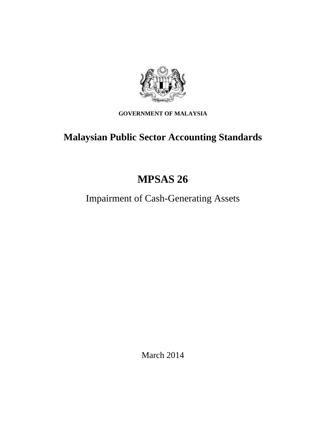

# **GOVERNMENT OF MALAYSIA**

# **Malaysian Public Sector Accounting Standards**

# **MPSAS 26**

Impairment of Cash-Generating Assets

March 2014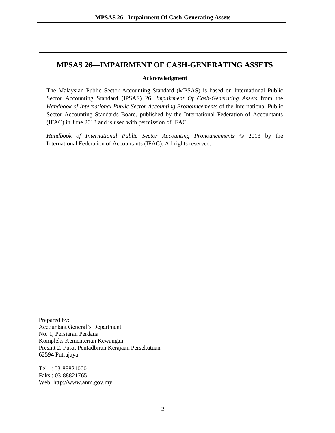# **MPSAS 26―IMPAIRMENT OF CASH-GENERATING ASSETS**

#### **Acknowledgment**

The Malaysian Public Sector Accounting Standard (MPSAS) is based on International Public Sector Accounting Standard (IPSAS) 26, *Impairment Of Cash-Generating Assets* from the *Handbook of International Public Sector Accounting Pronouncements* of the International Public Sector Accounting Standards Board, published by the International Federation of Accountants (IFAC) in June 2013 and is used with permission of IFAC.

*Handbook of International Public Sector Accounting Pronouncements* © 2013 by the International Federation of Accountants (IFAC). All rights reserved.

Prepared by: Accountant General's Department No. 1, Persiaran Perdana Kompleks Kementerian Kewangan Presint 2, Pusat Pentadbiran Kerajaan Persekutuan 62594 Putrajaya

Tel : 03-88821000 Faks : 03-88821765 Web: http://www.anm.gov.my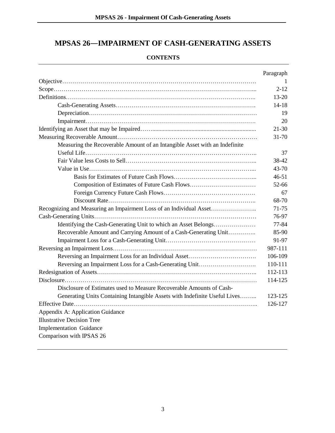# **MPSAS 26―IMPAIRMENT OF CASH-GENERATING ASSETS**

# **CONTENTS**

|                                                                            | Paragraph |
|----------------------------------------------------------------------------|-----------|
|                                                                            |           |
|                                                                            | $2 - 12$  |
|                                                                            | $13 - 20$ |
|                                                                            | $14 - 18$ |
|                                                                            | 19        |
|                                                                            | 20        |
|                                                                            | $21 - 30$ |
|                                                                            | 31-70     |
| Measuring the Recoverable Amount of an Intangible Asset with an Indefinite |           |
|                                                                            | 37        |
|                                                                            | 38-42     |
|                                                                            | $43 - 70$ |
|                                                                            | 46-51     |
|                                                                            | 52-66     |
|                                                                            | 67        |
|                                                                            | 68-70     |
| Recognizing and Measuring an Impairment Loss of an Individual Asset        | 71-75     |
|                                                                            | 76-97     |
| Identifying the Cash-Generating Unit to which an Asset Belongs             | 77-84     |
| Recoverable Amount and Carrying Amount of a Cash-Generating Unit           | 85-90     |
|                                                                            | 91-97     |
|                                                                            | 987-111   |
|                                                                            | 106-109   |
|                                                                            | 110-111   |
|                                                                            | 112-113   |
|                                                                            | 114-125   |
| Disclosure of Estimates used to Measure Recoverable Amounts of Cash-       |           |
| Generating Units Containing Intangible Assets with Indefinite Useful Lives | 123-125   |
|                                                                            | 126-127   |
| Appendix A: Application Guidance                                           |           |
| <b>Illustrative Decision Tree</b>                                          |           |
| <b>Implementation Guidance</b>                                             |           |
| Comparison with IPSAS 26                                                   |           |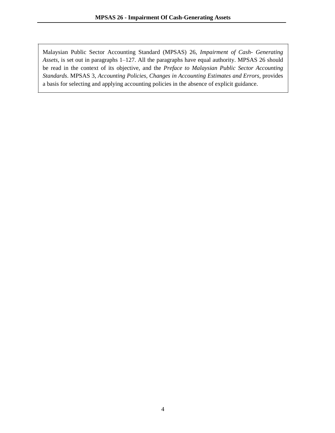Malaysian Public Sector Accounting Standard (MPSAS) 26, *Impairment of Cash- Generating Assets*, is set out in paragraphs 1–127. All the paragraphs have equal authority. MPSAS 26 should be read in the context of its objective, and the *Preface to Malaysian Public Sector Accounting Standards*. MPSAS 3, *Accounting Policies, Changes in Accounting Estimates and Errors*, provides a basis for selecting and applying accounting policies in the absence of explicit guidance.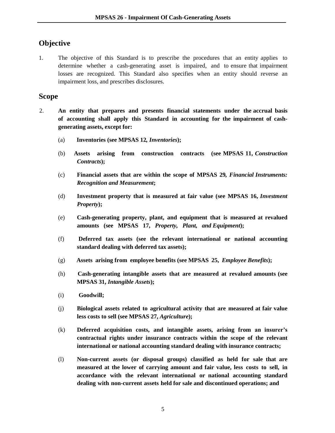# **Objective**

1. The objective of this Standard is to prescribe the procedures that an entity applies to determine whether a cash-generating asset is impaired, and to ensure that impairment losses are recognized. This Standard also specifies when an entity should reverse an impairment loss, and prescribes disclosures.

# **Scope**

- 2. **An entity that prepares and presents financial statements under the accrual basis of accounting shall apply this Standard in accounting for the impairment of cashgenerating assets, except for:**
	- (a) **Inventories (see MPSAS 12***, Inventories***);**
	- (b) **Assets arising from construction contracts (see MPSAS 11,** *Construction Contracts***);**
	- (c) **Financial assets that are within the scope of MPSAS 29***, Financial Instruments: Recognition and Measurement***;**
	- (d) **Investment property that is measured at fair value (see MPSAS 16,** *Investment Property***);**
	- (e) **Cash-generating property, plant, and equipment that is measured at revalued amounts (see MPSAS 17,** *Property, Plant, and Equipment***);**
	- (f) **Deferred tax assets (see the relevant international or national accounting standard dealing with deferred tax assets);**
	- (g) **Assets arising from employee benefits (see MPSAS 25,** *Employee Benefits***);**
	- (h) **Cash-generating intangible assets that are measured at revalued amounts (see MPSAS 31,** *Intangible Assets***);**
	- (i) **Goodwill;**
	- (j) **Biological assets related to agricultural activity that are measured at fair value less costs to sell (see MPSAS 27,** *Agriculture***);**
	- (k) **Deferred acquisition costs, and intangible assets, arising from an insurer's contractual rights under insurance contracts within the scope of the relevant international or national accounting standard dealing with insurance contracts;**
	- (l) **Non-current assets (or disposal groups) classified as held for sale that are measured at the lower of carrying amount and fair value, less costs to sell, in accordance with the relevant international or national accounting standard dealing with non-current assets held for sale and discontinued operations; and**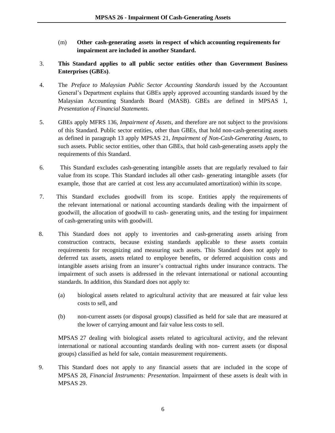- (m) **Other cash-generating assets in respect of which accounting requirements for impairment are included in another Standard.**
- 3. **This Standard applies to all public sector entities other than Government Business Enterprises (GBEs)**.
- 4. The *Preface to Malaysian Public Sector Accounting Standards* issued by the Accountant General's Department explains that GBEs apply approved accounting standards issued by the Malaysian Accounting Standards Board (MASB). GBEs are defined in MPSAS 1, *Presentation of Financial Statements*.
- 5. GBEs apply MFRS 136, *Impairment of Assets*, and therefore are not subject to the provisions of this Standard. Public sector entities, other than GBEs, that hold non-cash-generating assets as defined in paragraph 13 apply MPSAS 21, *Impairment of Non-Cash-Generating Assets*, to such assets. Public sector entities, other than GBEs, that hold cash-generating assets apply the requirements of this Standard.
- 6. This Standard excludes cash-generating intangible assets that are regularly revalued to fair value from its scope. This Standard includes all other cash- generating intangible assets (for example, those that are carried at cost less any accumulated amortization) within its scope.
- 7. This Standard excludes goodwill from its scope. Entities apply the requirements of the relevant international or national accounting standards dealing with the impairment of goodwill, the allocation of goodwill to cash- generating units, and the testing for impairment of cash-generating units with goodwill.
- 8. This Standard does not apply to inventories and cash-generating assets arising from construction contracts, because existing standards applicable to these assets contain requirements for recognizing and measuring such assets. This Standard does not apply to deferred tax assets, assets related to employee benefits, or deferred acquisition costs and intangible assets arising from an insurer's contractual rights under insurance contracts. The impairment of such assets is addressed in the relevant international or national accounting standards. In addition, this Standard does not apply to:
	- (a) biological assets related to agricultural activity that are measured at fair value less costs to sell, and
	- (b) non-current assets (or disposal groups) classified as held for sale that are measured at the lower of carrying amount and fair value less costs to sell.

MPSAS 27 dealing with biological assets related to agricultural activity, and the relevant international or national accounting standards dealing with non- current assets (or disposal groups) classified as held for sale, contain measurement requirements.

9. This Standard does not apply to any financial assets that are included in the scope of MPSAS 28, *Financial Instruments: Presentation*. Impairment of these assets is dealt with in MPSAS 29.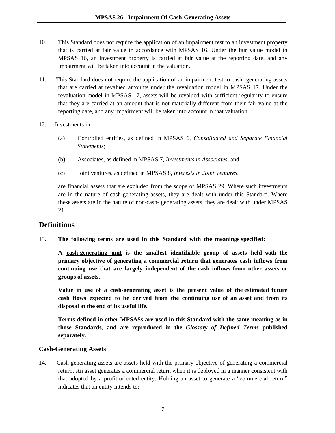- 10. This Standard does not require the application of an impairment test to an investment property that is carried at fair value in accordance with MPSAS 16. Under the fair value model in MPSAS 16, an investment property is carried at fair value at the reporting date, and any impairment will be taken into account in the valuation.
- 11. This Standard does not require the application of an impairment test to cash- generating assets that are carried at revalued amounts under the revaluation model in MPSAS 17. Under the revaluation model in MPSAS 17, assets will be revalued with sufficient regularity to ensure that they are carried at an amount that is not materially different from their fair value at the reporting date, and any impairment will be taken into account in that valuation.
- 12. Investments in:
	- (a) Controlled entities, as defined in MPSAS 6, *Consolidated and Separate Financial Statements*;
	- (b) Associates, as defined in MPSAS 7, *Investments in Associates*; and
	- (c) Joint ventures, as defined in MPSAS 8, *Interests in Joint Ventures*,

are financial assets that are excluded from the scope of MPSAS 29. Where such investments are in the nature of cash-generating assets, they are dealt with under this Standard. Where these assets are in the nature of non-cash- generating assets, they are dealt with under MPSAS 21.

# **Definitions**

13. **The following terms are used in this Standard with the meanings specified:**

**A cash-generating unit is the smallest identifiable group of assets held with the primary objective of generating a commercial return that generates cash inflows from continuing use that are largely independent of the cash inflows from other assets or groups of assets.**

**Value in use of a cash-generating asset is the present value of the estimated future cash flows expected to be derived from the continuing use of an asset and from its disposal at the end of its useful life.**

**Terms defined in other MPSASs are used in this Standard with the same meaning as in those Standards, and are reproduced in the** *Glossary of Defined Terms* **published separately.**

## **Cash-Generating Assets**

14. Cash-generating assets are assets held with the primary objective of generating a commercial return. An asset generates a commercial return when it is deployed in a manner consistent with that adopted by a profit-oriented entity. Holding an asset to generate a "commercial return" indicates that an entity intends to: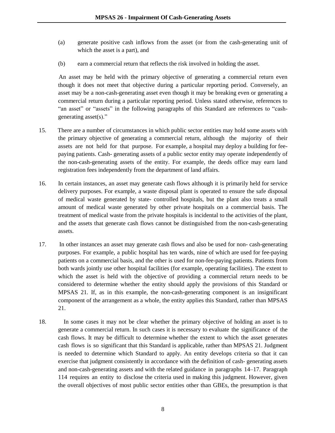- (a) generate positive cash inflows from the asset (or from the cash-generating unit of which the asset is a part), and
- (b) earn a commercial return that reflects the risk involved in holding the asset.

 An asset may be held with the primary objective of generating a commercial return even though it does not meet that objective during a particular reporting period. Conversely, an asset may be a non-cash-generating asset even though it may be breaking even or generating a commercial return during a particular reporting period. Unless stated otherwise, references to "an asset" or "assets" in the following paragraphs of this Standard are references to "cashgenerating asset(s)."

- 15. There are a number of circumstances in which public sector entities may hold some assets with the primary objective of generating a commercial return, although the majority of their assets are not held for that purpose. For example, a hospital may deploy a building for feepaying patients. Cash- generating assets of a public sector entity may operate independently of the non-cash-generating assets of the entity. For example, the deeds office may earn land registration fees independently from the department of land affairs.
- 16. In certain instances, an asset may generate cash flows although it is primarily held for service delivery purposes. For example, a waste disposal plant is operated to ensure the safe disposal of medical waste generated by state- controlled hospitals, but the plant also treats a small amount of medical waste generated by other private hospitals on a commercial basis. The treatment of medical waste from the private hospitals is incidental to the activities of the plant, and the assets that generate cash flows cannot be distinguished from the non-cash-generating assets.
- 17. In other instances an asset may generate cash flows and also be used for non- cash-generating purposes. For example, a public hospital has ten wards, nine of which are used for fee-paying patients on a commercial basis, and the other is used for non-fee-paying patients. Patients from both wards jointly use other hospital facilities (for example, operating facilities). The extent to which the asset is held with the objective of providing a commercial return needs to be considered to determine whether the entity should apply the provisions of this Standard or MPSAS 21. If, as in this example, the non-cash-generating component is an insignificant component of the arrangement as a whole, the entity applies this Standard, rather than MPSAS 21.
- 18. In some cases it may not be clear whether the primary objective of holding an asset is to generate a commercial return. In such cases it is necessary to evaluate the significance of the cash flows. It may be difficult to determine whether the extent to which the asset generates cash flows is so significant that this Standard is applicable, rather than MPSAS 21. Judgment is needed to determine which Standard to apply. An entity develops criteria so that it can exercise that judgment consistently in accordance with the definition of cash- generating assets and non-cash-generating assets and with the related guidance in paragraphs 14–17. Paragraph 114 requires an entity to disclose the criteria used in making this judgment. However, given the overall objectives of most public sector entities other than GBEs, the presumption is that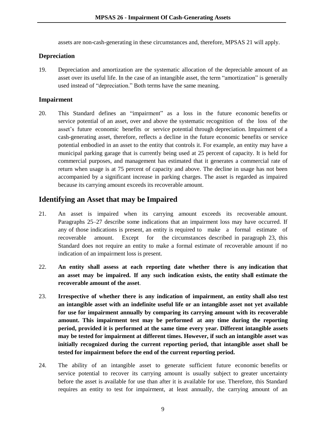assets are non-cash-generating in these circumstances and, therefore, MPSAS 21 will apply.

# **Depreciation**

19. Depreciation and amortization are the systematic allocation of the depreciable amount of an asset over its useful life. In the case of an intangible asset, the term "amortization" is generally used instead of "depreciation." Both terms have the same meaning.

# **Impairment**

20. This Standard defines an "impairment" as a loss in the future economic benefits or service potential of an asset, over and above the systematic recognition of the loss of the asset's future economic benefits or service potential through depreciation. Impairment of a cash-generating asset, therefore, reflects a decline in the future economic benefits or service potential embodied in an asset to the entity that controls it. For example, an entity may have a municipal parking garage that is currently being used at 25 percent of capacity. It is held for commercial purposes, and management has estimated that it generates a commercial rate of return when usage is at 75 percent of capacity and above. The decline in usage has not been accompanied by a significant increase in parking charges. The asset is regarded as impaired because its carrying amount exceeds its recoverable amount.

# **Identifying an Asset that may be Impaired**

- 21. An asset is impaired when its carrying amount exceeds its recoverable amount. Paragraphs 25–27 describe some indications that an impairment loss may have occurred. If any of those indications is present, an entity is required to make a formal estimate of recoverable amount. Except for the circumstances described in paragraph 23, this Standard does not require an entity to make a formal estimate of recoverable amount if no indication of an impairment loss is present.
- 22. **An entity shall assess at each reporting date whether there is any indication that an asset may be impaired. If any such indication exists, the entity shall estimate the recoverable amount of the asset**.
- 23. **Irrespective of whether there is any indication of impairment, an entity shall also test an intangible asset with an indefinite useful life or an intangible asset not yet available for use for impairment annually by comparing its carrying amount with its recoverable amount. This impairment test may be performed at any time during the reporting period, provided it is performed at the same time every year. Different intangible assets may be tested for impairment at different times. However, if such an intangible asset was initially recognized during the current reporting period, that intangible asset shall be tested for impairment before the end of the current reporting period.**
- 24. The ability of an intangible asset to generate sufficient future economic benefits or service potential to recover its carrying amount is usually subject to greater uncertainty before the asset is available for use than after it is available for use. Therefore, this Standard requires an entity to test for impairment, at least annually, the carrying amount of an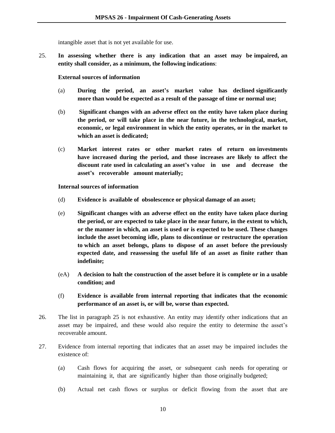intangible asset that is not yet available for use.

25. **In assessing whether there is any indication that an asset may be impaired, an entity shall consider, as a minimum, the following indications**:

**External sources of information**

- (a) **During the period, an asset's market value has declined significantly more than would be expected as a result of the passage of time or normal use;**
- (b) **Significant changes with an adverse effect on the entity have taken place during the period, or will take place in the near future, in the technological, market, economic, or legal environment in which the entity operates, or in the market to which an asset is dedicated;**
- (c) **Market interest rates or other market rates of return on investments have increased during the period, and those increases are likely to affect the discount rate used in calculating an asset's value in use and decrease the asset's recoverable amount materially;**

**Internal sources of information**

- (d) **Evidence is available of obsolescence or physical damage of an asset;**
- (e) **Significant changes with an adverse effect on the entity have taken place during the period, or are expected to take place in the near future, in the extent to which, or the manner in which, an asset is used or is expected to be used. These changes include the asset becoming idle, plans to discontinue or restructure the operation to which an asset belongs, plans to dispose of an asset before the previously expected date, and reassessing the useful life of an asset as finite rather than indefinite;**
- (eA) **A decision to halt the construction of the asset before it is complete or in a usable condition; and**
- (f) **Evidence is available from internal reporting that indicates that the economic performance of an asset is, or will be, worse than expected.**
- 26. The list in paragraph 25 is not exhaustive. An entity may identify other indications that an asset may be impaired, and these would also require the entity to determine the asset's recoverable amount.
- 27. Evidence from internal reporting that indicates that an asset may be impaired includes the existence of:
	- (a) Cash flows for acquiring the asset, or subsequent cash needs for operating or maintaining it, that are significantly higher than those originally budgeted;
	- (b) Actual net cash flows or surplus or deficit flowing from the asset that are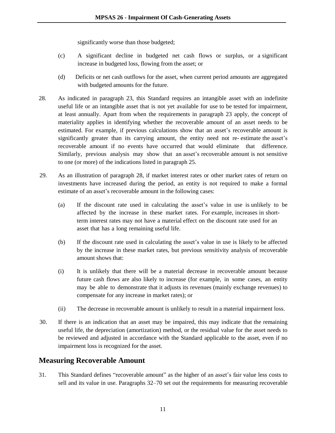significantly worse than those budgeted;

- (c) A significant decline in budgeted net cash flows or surplus, or a significant increase in budgeted loss, flowing from the asset; or
- (d) Deficits or net cash outflows for the asset, when current period amounts are aggregated with budgeted amounts for the future.
- 28. As indicated in paragraph 23, this Standard requires an intangible asset with an indefinite useful life or an intangible asset that is not yet available for use to be tested for impairment, at least annually. Apart from when the requirements in paragraph 23 apply, the concept of materiality applies in identifying whether the recoverable amount of an asset needs to be estimated. For example, if previous calculations show that an asset's recoverable amount is significantly greater than its carrying amount, the entity need not re- estimate the asset's recoverable amount if no events have occurred that would eliminate that difference. Similarly, previous analysis may show that an asset's recoverable amount is not sensitive to one (or more) of the indications listed in paragraph 25.
- 29. As an illustration of paragraph 28, if market interest rates or other market rates of return on investments have increased during the period, an entity is not required to make a formal estimate of an asset's recoverable amount in the following cases:
	- (a) If the discount rate used in calculating the asset's value in use is unlikely to be affected by the increase in these market rates. For example, increases in shortterm interest rates may not have a material effect on the discount rate used for an asset that has a long remaining useful life.
	- (b) If the discount rate used in calculating the asset's value in use is likely to be affected by the increase in these market rates, but previous sensitivity analysis of recoverable amount shows that:
	- (i) It is unlikely that there will be a material decrease in recoverable amount because future cash flows are also likely to increase (for example, in some cases, an entity may be able to demonstrate that it adjusts its revenues (mainly exchange revenues) to compensate for any increase in market rates); or
	- (ii) The decrease in recoverable amount is unlikely to result in a material impairment loss.
- 30. If there is an indication that an asset may be impaired, this may indicate that the remaining useful life, the depreciation (amortization) method, or the residual value for the asset needs to be reviewed and adjusted in accordance with the Standard applicable to the asset, even if no impairment loss is recognized for the asset.

# **Measuring Recoverable Amount**

31. This Standard defines "recoverable amount" as the higher of an asset's fair value less costs to sell and its value in use. Paragraphs 32–70 set out the requirements for measuring recoverable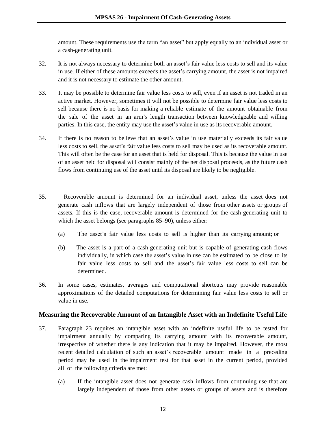amount. These requirements use the term "an asset" but apply equally to an individual asset or a cash-generating unit.

- 32. It is not always necessary to determine both an asset's fair value less costs to sell and its value in use. If either of these amounts exceeds the asset's carrying amount, the asset is not impaired and it is not necessary to estimate the other amount.
- 33. It may be possible to determine fair value less costs to sell, even if an asset is not traded in an active market. However, sometimes it will not be possible to determine fair value less costs to sell because there is no basis for making a reliable estimate of the amount obtainable from the sale of the asset in an arm's length transaction between knowledgeable and willing parties. In this case, the entity may use the asset's value in use as its recoverable amount.
- 34. If there is no reason to believe that an asset's value in use materially exceeds its fair value less costs to sell, the asset's fair value less costs to sell may be used as its recoverable amount. This will often be the case for an asset that is held for disposal. This is because the value in use of an asset held for disposal will consist mainly of the net disposal proceeds, as the future cash flows from continuing use of the asset until its disposal are likely to be negligible.
- 35. Recoverable amount is determined for an individual asset, unless the asset does not generate cash inflows that are largely independent of those from other assets or groups of assets. If this is the case, recoverable amount is determined for the cash-generating unit to which the asset belongs (see paragraphs 85–90), unless either:
	- (a) The asset's fair value less costs to sell is higher than its carrying amount; or
	- (b) The asset is a part of a cash-generating unit but is capable of generating cash flows individually, in which case the asset's value in use can be estimated to be close to its fair value less costs to sell and the asset's fair value less costs to sell can be determined.
- 36. In some cases, estimates, averages and computational shortcuts may provide reasonable approximations of the detailed computations for determining fair value less costs to sell or value in use.

## **Measuring the Recoverable Amount of an Intangible Asset with an Indefinite Useful Life**

- 37. Paragraph 23 requires an intangible asset with an indefinite useful life to be tested for impairment annually by comparing its carrying amount with its recoverable amount, irrespective of whether there is any indication that it may be impaired. However, the most recent detailed calculation of such an asset's recoverable amount made in a preceding period may be used in the impairment test for that asset in the current period, provided all of the following criteria are met:
	- (a) If the intangible asset does not generate cash inflows from continuing use that are largely independent of those from other assets or groups of assets and is therefore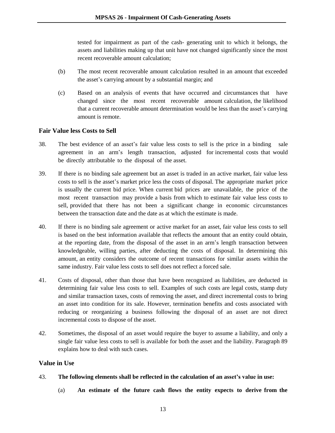tested for impairment as part of the cash- generating unit to which it belongs, the assets and liabilities making up that unit have not changed significantly since the most recent recoverable amount calculation;

- (b) The most recent recoverable amount calculation resulted in an amount that exceeded the asset's carrying amount by a substantial margin; and
- (c) Based on an analysis of events that have occurred and circumstances that have changed since the most recent recoverable amount calculation, the likelihood that a current recoverable amount determination would be less than the asset's carrying amount is remote.

# **Fair Value less Costs to Sell**

- 38. The best evidence of an asset's fair value less costs to sell is the price in a binding sale agreement in an arm's length transaction, adjusted for incremental costs that would be directly attributable to the disposal of the asset.
- 39. If there is no binding sale agreement but an asset is traded in an active market, fair value less costs to sell is the asset's market price less the costs of disposal. The appropriate market price is usually the current bid price. When current bid prices are unavailable, the price of the most recent transaction may provide a basis from which to estimate fair value less costs to sell, provided that there has not been a significant change in economic circumstances between the transaction date and the date as at which the estimate is made.
- 40. If there is no binding sale agreement or active market for an asset, fair value less costs to sell is based on the best information available that reflects the amount that an entity could obtain, at the reporting date, from the disposal of the asset in an arm's length transaction between knowledgeable, willing parties, after deducting the costs of disposal. In determining this amount, an entity considers the outcome of recent transactions for similar assets within the same industry. Fair value less costs to sell does not reflect a forced sale.
- 41. Costs of disposal, other than those that have been recognized as liabilities, are deducted in determining fair value less costs to sell. Examples of such costs are legal costs, stamp duty and similar transaction taxes, costs of removing the asset, and direct incremental costs to bring an asset into condition for its sale. However, termination benefits and costs associated with reducing or reorganizing a business following the disposal of an asset are not direct incremental costs to dispose of the asset.
- 42. Sometimes, the disposal of an asset would require the buyer to assume a liability, and only a single fair value less costs to sell is available for both the asset and the liability. Paragraph 89 explains how to deal with such cases.

# **Value in Use**

## 43. **The following elements shall be reflected in the calculation of an asset's value in use:**

(a) **An estimate of the future cash flows the entity expects to derive from the**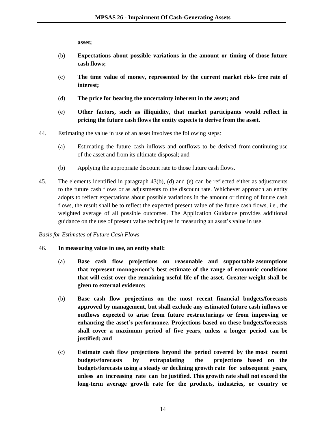**asset;**

- (b) **Expectations about possible variations in the amount or timing of those future cash flows;**
- (c) **The time value of money, represented by the current market risk- free rate of interest;**
- (d) **The price for bearing the uncertainty inherent in the asset; and**
- (e) **Other factors, such as illiquidity, that market participants would reflect in pricing the future cash flows the entity expects to derive from the asset.**
- 44. Estimating the value in use of an asset involves the following steps:
	- (a) Estimating the future cash inflows and outflows to be derived from continuing use of the asset and from its ultimate disposal; and
	- (b) Applying the appropriate discount rate to those future cash flows.
- 45. The elements identified in paragraph 43(b), (d) and (e) can be reflected either as adjustments to the future cash flows or as adjustments to the discount rate. Whichever approach an entity adopts to reflect expectations about possible variations in the amount or timing of future cash flows, the result shall be to reflect the expected present value of the future cash flows, i.e., the weighted average of all possible outcomes. The Application Guidance provides additional guidance on the use of present value techniques in measuring an asset's value in use.

#### *Basis for Estimates of Future Cash Flows*

- 46. **In measuring value in use, an entity shall:**
	- (a) **Base cash flow projections on reasonable and supportable assumptions that represent management's best estimate of the range of economic conditions that will exist over the remaining useful life of the asset. Greater weight shall be given to external evidence;**
	- (b) **Base cash flow projections on the most recent financial budgets/forecasts approved by management, but shall exclude any estimated future cash inflows or outflows expected to arise from future restructurings or from improving or enhancing the asset's performance. Projections based on these budgets/forecasts shall cover a maximum period of five years, unless a longer period can be justified; and**
	- (c) **Estimate cash flow projections beyond the period covered by the most recent budgets/forecasts by extrapolating the projections based on the budgets/forecasts using a steady or declining growth rate for subsequent years, unless an increasing rate can be justified. This growth rate shall not exceed the long-term average growth rate for the products, industries, or country or**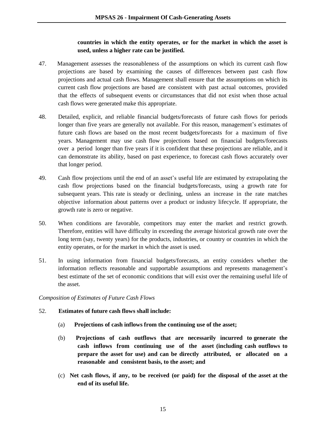## **countries in which the entity operates, or for the market in which the asset is used, unless a higher rate can be justified.**

- 47. Management assesses the reasonableness of the assumptions on which its current cash flow projections are based by examining the causes of differences between past cash flow projections and actual cash flows. Management shall ensure that the assumptions on which its current cash flow projections are based are consistent with past actual outcomes, provided that the effects of subsequent events or circumstances that did not exist when those actual cash flows were generated make this appropriate.
- 48. Detailed, explicit, and reliable financial budgets/forecasts of future cash flows for periods longer than five years are generally not available. For this reason, management's estimates of future cash flows are based on the most recent budgets/forecasts for a maximum of five years. Management may use cash flow projections based on financial budgets/forecasts over a period longer than five years if it is confident that these projections are reliable, and it can demonstrate its ability, based on past experience, to forecast cash flows accurately over that longer period.
- 49. Cash flow projections until the end of an asset's useful life are estimated by extrapolating the cash flow projections based on the financial budgets/forecasts, using a growth rate for subsequent years. This rate is steady or declining, unless an increase in the rate matches objective information about patterns over a product or industry lifecycle. If appropriate, the growth rate is zero or negative.
- 50. When conditions are favorable, competitors may enter the market and restrict growth. Therefore, entities will have difficulty in exceeding the average historical growth rate over the long term (say, twenty years) for the products, industries, or country or countries in which the entity operates, or for the market in which the asset is used.
- 51. In using information from financial budgets/forecasts, an entity considers whether the information reflects reasonable and supportable assumptions and represents management's best estimate of the set of economic conditions that will exist over the remaining useful life of the asset.

*Composition of Estimates of Future Cash Flows*

- 52. **Estimates of future cash flows shall include:**
	- (a) **Projections of cash inflows from the continuing use of the asset;**
	- (b) **Projections of cash outflows that are necessarily incurred to generate the cash inflows from continuing use of the asset (including cash outflows to prepare the asset for use) and can be directly attributed, or allocated on a reasonable and consistent basis, to the asset; and**
	- (c) **Net cash flows, if any, to be received (or paid) for the disposal of the asset at the end of its useful life.**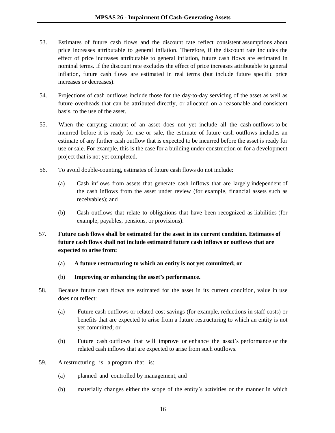- 53. Estimates of future cash flows and the discount rate reflect consistent assumptions about price increases attributable to general inflation. Therefore, if the discount rate includes the effect of price increases attributable to general inflation, future cash flows are estimated in nominal terms. If the discount rate excludes the effect of price increases attributable to general inflation, future cash flows are estimated in real terms (but include future specific price increases or decreases).
- 54. Projections of cash outflows include those for the day-to-day servicing of the asset as well as future overheads that can be attributed directly, or allocated on a reasonable and consistent basis, to the use of the asset.
- 55. When the carrying amount of an asset does not yet include all the cash outflows to be incurred before it is ready for use or sale, the estimate of future cash outflows includes an estimate of any further cash outflow that is expected to be incurred before the asset is ready for use or sale. For example, this is the case for a building under construction or for a development project that is not yet completed.
- 56. To avoid double-counting, estimates of future cash flows do not include:
	- (a) Cash inflows from assets that generate cash inflows that are largely independent of the cash inflows from the asset under review (for example, financial assets such as receivables); and
	- (b) Cash outflows that relate to obligations that have been recognized as liabilities (for example, payables, pensions, or provisions).
- 57. **Future cash flows shall be estimated for the asset in its current condition. Estimates of future cash flows shall not include estimated future cash inflows or outflows that are expected to arise from:**
	- (a) **A future restructuring to which an entity is not yet committed; or**
	- (b) **Improving or enhancing the asset's performance.**
- 58. Because future cash flows are estimated for the asset in its current condition, value in use does not reflect:
	- (a) Future cash outflows or related cost savings (for example, reductions in staff costs) or benefits that are expected to arise from a future restructuring to which an entity is not yet committed; or
	- (b) Future cash outflows that will improve or enhance the asset's performance or the related cash inflows that are expected to arise from such outflows.
- 59. A restructuring is a program that is:
	- (a) planned and controlled by management, and
	- (b) materially changes either the scope of the entity's activities or the manner in which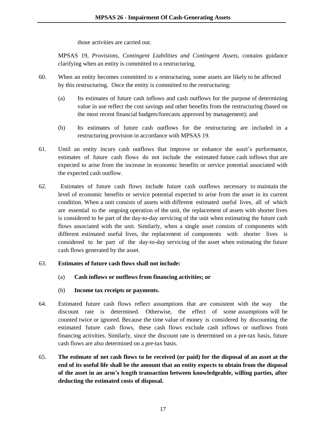those activities are carried out.

MPSAS 19, *Provisions, Contingent Liabilities and Contingent Assets*, contains guidance clarifying when an entity is committed to a restructuring.

- 60. When an entity becomes committed to a restructuring, some assets are likely to be affected by this restructuring. Once the entity is committed to the restructuring:
	- (a) Its estimates of future cash inflows and cash outflows for the purpose of determining value in use reflect the cost savings and other benefits from the restructuring (based on the most recent financial budgets/forecasts approved by management); and
	- (b) Its estimates of future cash outflows for the restructuring are included in a restructuring provision in accordance with MPSAS 19.
- 61. Until an entity incurs cash outflows that improve or enhance the asset's performance, estimates of future cash flows do not include the estimated future cash inflows that are expected to arise from the increase in economic benefits or service potential associated with the expected cash outflow.
- 62. Estimates of future cash flows include future cash outflows necessary to maintain the level of economic benefits or service potential expected to arise from the asset in its current condition. When a unit consists of assets with different estimated useful lives, all of which are essential to the ongoing operation of the unit, the replacement of assets with shorter lives is considered to be part of the day-to-day servicing of the unit when estimating the future cash flows associated with the unit. Similarly, when a single asset consists of components with different estimated useful lives, the replacement of components with shorter lives is considered to be part of the day-to-day servicing of the asset when estimating the future cash flows generated by the asset.

## 63. **Estimates of future cash flows shall not include:**

- (a) **Cash inflows or outflows from financing activities; or**
- (b) **Income tax receipts or payments.**
- 64. Estimated future cash flows reflect assumptions that are consistent with the way the discount rate is determined. Otherwise, the effect of some assumptions will be counted twice or ignored. Because the time value of money is considered by discounting the estimated future cash flows, these cash flows exclude cash inflows or outflows from financing activities. Similarly, since the discount rate is determined on a pre-tax basis, future cash flows are also determined on a pre-tax basis.
- 65. **The estimate of net cash flows to be received (or paid) for the disposal of an asset at the end of its useful life shall be the amount that an entity expects to obtain from the disposal of the asset in an arm's length transaction between knowledgeable, willing parties, after deducting the estimated costs of disposal.**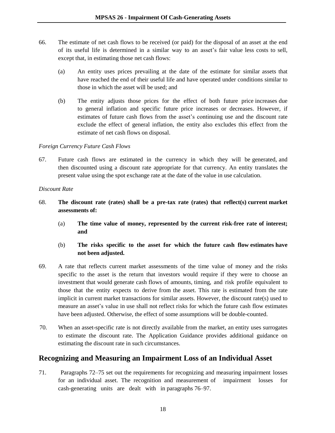- 66. The estimate of net cash flows to be received (or paid) for the disposal of an asset at the end of its useful life is determined in a similar way to an asset's fair value less costs to sell, except that, in estimating those net cash flows:
	- (a) An entity uses prices prevailing at the date of the estimate for similar assets that have reached the end of their useful life and have operated under conditions similar to those in which the asset will be used; and
	- (b) The entity adjusts those prices for the effect of both future price increases due to general inflation and specific future price increases or decreases. However, if estimates of future cash flows from the asset's continuing use and the discount rate exclude the effect of general inflation, the entity also excludes this effect from the estimate of net cash flows on disposal.

## *Foreign Currency Future Cash Flows*

67. Future cash flows are estimated in the currency in which they will be generated, and then discounted using a discount rate appropriate for that currency. An entity translates the present value using the spot exchange rate at the date of the value in use calculation.

#### *Discount Rate*

- 68. **The discount rate (rates) shall be a pre-tax rate (rates) that reflect(s) current market assessments of:**
	- (a) **The time value of money, represented by the current risk-free rate of interest; and**
	- (b) **The risks specific to the asset for which the future cash flow estimates have not been adjusted.**
- 69. A rate that reflects current market assessments of the time value of money and the risks specific to the asset is the return that investors would require if they were to choose an investment that would generate cash flows of amounts, timing, and risk profile equivalent to those that the entity expects to derive from the asset. This rate is estimated from the rate implicit in current market transactions for similar assets. However, the discount rate(s) used to measure an asset's value in use shall not reflect risks for which the future cash flow estimates have been adjusted. Otherwise, the effect of some assumptions will be double-counted.
- 70. When an asset-specific rate is not directly available from the market, an entity uses surrogates to estimate the discount rate. The Application Guidance provides additional guidance on estimating the discount rate in such circumstances.

# **Recognizing and Measuring an Impairment Loss of an Individual Asset**

71. Paragraphs 72–75 set out the requirements for recognizing and measuring impairment losses for an individual asset. The recognition and measurement of impairment losses for cash-generating units are dealt with in paragraphs 76–97.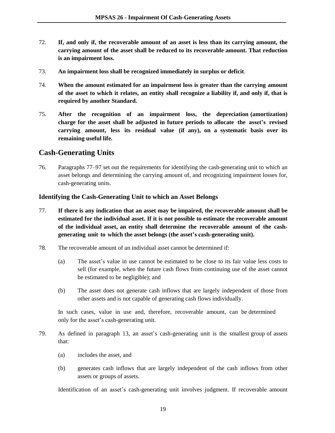- 72. **If, and only if, the recoverable amount of an asset is less than its carrying amount, the carrying amount of the asset shall be reduced to its recoverable amount. That reduction is an impairment loss.**
- 73. **An impairment loss shall be recognized immediately in surplus or deficit**.
- 74. **When the amount estimated for an impairment loss is greater than the carrying amount of the asset to which it relates, an entity shall recognize a liability if, and only if, that is required by another Standard.**
- 75. **After the recognition of an impairment loss, the depreciation (amortization) charge for the asset shall be adjusted in future periods to allocate the asset's revised carrying amount, less its residual value (if any), on a systematic basis over its remaining useful life.**

# **Cash-Generating Units**

76. Paragraphs 77–97 set out the requirements for identifying the cash-generating unit to which an asset belongs and determining the carrying amount of, and recognizing impairment losses for, cash-generating units.

#### **Identifying the Cash-Generating Unit to which an Asset Belongs**

- 77. **If there is any indication that an asset may be impaired, the recoverable amount shall be estimated for the individual asset. If it is not possible to estimate the recoverable amount of the individual asset, an entity shall determine the recoverable amount of the cashgenerating unit to which the asset belongs (the asset's cash-generating unit).**
- 78. The recoverable amount of an individual asset cannot be determined if:
	- (a) The asset's value in use cannot be estimated to be close to its fair value less costs to sell (for example, when the future cash flows from continuing use of the asset cannot be estimated to be negligible); and
	- (b) The asset does not generate cash inflows that are largely independent of those from other assets and is not capable of generating cash flows individually.

In such cases, value in use and, therefore, recoverable amount, can be determined only for the asset's cash-generating unit.

- 79. As defined in paragraph 13, an asset's cash-generating unit is the smallest group of assets that:
	- (a) includes the asset, and
	- (b) generates cash inflows that are largely independent of the cash inflows from other assets or groups of assets.

Identification of an asset's cash-generating unit involves judgment. If recoverable amount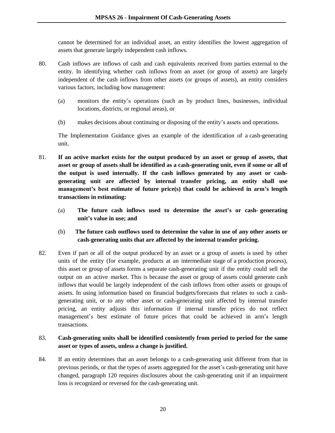cannot be determined for an individual asset, an entity identifies the lowest aggregation of assets that generate largely independent cash inflows.

- 80. Cash inflows are inflows of cash and cash equivalents received from parties external to the entity. In identifying whether cash inflows from an asset (or group of assets) are largely independent of the cash inflows from other assets (or groups of assets), an entity considers various factors, including how management:
	- (a) monitors the entity's operations (such as by product lines, businesses, individual locations, districts, or regional areas), or
	- (b) makes decisions about continuing or disposing of the entity's assets and operations.

The Implementation Guidance gives an example of the identification of a cash-generating unit.

- 81. **If an active market exists for the output produced by an asset or group of assets, that asset or group of assets shall be identified as a cash-generating unit, even if some or all of the output is used internally. If the cash inflows generated by any asset or cashgenerating unit are affected by internal transfer pricing, an entity shall use management's best estimate of future price(s) that could be achieved in arm's length transactions in estimating:**
	- (a) **The future cash inflows used to determine the asset's or cash- generating unit's value in use; and**
	- (b) **The future cash outflows used to determine the value in use of any other assets or cash-generating units that are affected by the internal transfer pricing.**
- 82. Even if part or all of the output produced by an asset or a group of assets is used by other units of the entity (for example, products at an intermediate stage of a production process), this asset or group of assets forms a separate cash-generating unit if the entity could sell the output on an active market. This is because the asset or group of assets could generate cash inflows that would be largely independent of the cash inflows from other assets or groups of assets. In using information based on financial budgets/forecasts that relates to such a cashgenerating unit, or to any other asset or cash-generating unit affected by internal transfer pricing, an entity adjusts this information if internal transfer prices do not reflect management's best estimate of future prices that could be achieved in arm's length transactions.

# 83. **Cash-generating units shall be identified consistently from period to period for the same asset or types of assets, unless a change is justified.**

84. If an entity determines that an asset belongs to a cash-generating unit different from that in previous periods, or that the types of assets aggregated for the asset's cash-generating unit have changed, paragraph 120 requires disclosures about the cash-generating unit if an impairment loss is recognized or reversed for the cash-generating unit.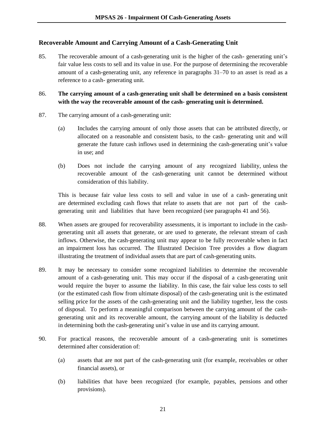# **Recoverable Amount and Carrying Amount of a Cash-Generating Unit**

85. The recoverable amount of a cash-generating unit is the higher of the cash- generating unit's fair value less costs to sell and its value in use. For the purpose of determining the recoverable amount of a cash-generating unit, any reference in paragraphs 31–70 to an asset is read as a reference to a cash- generating unit.

# 86. **The carrying amount of a cash-generating unit shall be determined on a basis consistent with the way the recoverable amount of the cash- generating unit is determined.**

- 87. The carrying amount of a cash-generating unit:
	- (a) Includes the carrying amount of only those assets that can be attributed directly, or allocated on a reasonable and consistent basis, to the cash- generating unit and will generate the future cash inflows used in determining the cash-generating unit's value in use; and
	- (b) Does not include the carrying amount of any recognized liability, unless the recoverable amount of the cash-generating unit cannot be determined without consideration of this liability.

This is because fair value less costs to sell and value in use of a cash- generating unit are determined excluding cash flows that relate to assets that are not part of the cashgenerating unit and liabilities that have been recognized (see paragraphs 41 and 56).

- 88. When assets are grouped for recoverability assessments, it is important to include in the cashgenerating unit all assets that generate, or are used to generate, the relevant stream of cash inflows. Otherwise, the cash-generating unit may appear to be fully recoverable when in fact an impairment loss has occurred. The Illustrated Decision Tree provides a flow diagram illustrating the treatment of individual assets that are part of cash-generating units.
- 89. It may be necessary to consider some recognized liabilities to determine the recoverable amount of a cash-generating unit. This may occur if the disposal of a cash-generating unit would require the buyer to assume the liability. In this case, the fair value less costs to sell (or the estimated cash flow from ultimate disposal) of the cash-generating unit is the estimated selling price for the assets of the cash-generating unit and the liability together, less the costs of disposal. To perform a meaningful comparison between the carrying amount of the cashgenerating unit and its recoverable amount, the carrying amount of the liability is deducted in determining both the cash-generating unit's value in use and its carrying amount.
- 90. For practical reasons, the recoverable amount of a cash-generating unit is sometimes determined after consideration of:
	- (a) assets that are not part of the cash-generating unit (for example, receivables or other financial assets), or
	- (b) liabilities that have been recognized (for example, payables, pensions and other provisions).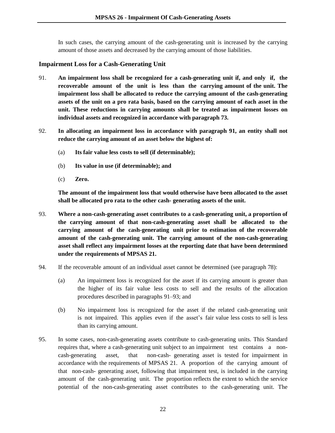In such cases, the carrying amount of the cash-generating unit is increased by the carrying amount of those assets and decreased by the carrying amount of those liabilities.

## **Impairment Loss for a Cash-Generating Unit**

- 91. **An impairment loss shall be recognized for a cash-generating unit if, and only if, the recoverable amount of the unit is less than the carrying amount of the unit. The impairment loss shall be allocated to reduce the carrying amount of the cash-generating assets of the unit on a pro rata basis, based on the carrying amount of each asset in the unit. These reductions in carrying amounts shall be treated as impairment losses on individual assets and recognized in accordance with paragraph 73.**
- 92. **In allocating an impairment loss in accordance with paragraph 91, an entity shall not reduce the carrying amount of an asset below the highest of:**
	- (a) **Its fair value less costs to sell (if determinable);**
	- (b) **Its value in use (if determinable); and**
	- (c) **Zero.**

**The amount of the impairment loss that would otherwise have been allocated to the asset shall be allocated pro rata to the other cash- generating assets of the unit.**

- 93. **Where a non-cash-generating asset contributes to a cash-generating unit, a proportion of the carrying amount of that non-cash-generating asset shall be allocated to the carrying amount of the cash-generating unit prior to estimation of the recoverable amount of the cash-generating unit. The carrying amount of the non-cash-generating asset shall reflect any impairment losses at the reporting date that have been determined under the requirements of MPSAS 21.**
- 94. If the recoverable amount of an individual asset cannot be determined (see paragraph 78):
	- (a) An impairment loss is recognized for the asset if its carrying amount is greater than the higher of its fair value less costs to sell and the results of the allocation procedures described in paragraphs 91–93; and
	- (b) No impairment loss is recognized for the asset if the related cash-generating unit is not impaired. This applies even if the asset's fair value less costs to sell is less than its carrying amount.
- 95. In some cases, non-cash-generating assets contribute to cash-generating units. This Standard requires that, where a cash-generating unit subject to an impairment test contains a noncash-generating asset, that non-cash- generating asset is tested for impairment in accordance with the requirements of MPSAS 21. A proportion of the carrying amount of that non-cash- generating asset, following that impairment test, is included in the carrying amount of the cash-generating unit. The proportion reflects the extent to which the service potential of the non-cash-generating asset contributes to the cash-generating unit. The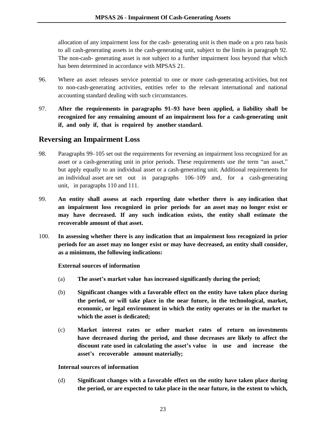allocation of any impairment loss for the cash- generating unit is then made on a pro rata basis to all cash-generating assets in the cash-generating unit, subject to the limits in paragraph 92. The non-cash- generating asset is not subject to a further impairment loss beyond that which has been determined in accordance with MPSAS 21.

- 96. Where an asset releases service potential to one or more cash-generating activities, but not to non-cash-generating activities, entities refer to the relevant international and national accounting standard dealing with such circumstances.
- 97. **After the requirements in paragraphs 91–93 have been applied, a liability shall be recognized for any remaining amount of an impairment loss for a cash-generating unit if, and only if, that is required by another standard.**

# **Reversing an Impairment Loss**

- 98. Paragraphs 99–105 set out the requirements for reversing an impairment loss recognized for an asset or a cash-generating unit in prior periods. These requirements use the term "an asset," but apply equally to an individual asset or a cash-generating unit. Additional requirements for an individual asset are set out in paragraphs 106–109 and, for a cash-generating unit, in paragraphs 110 and 111.
- 99. **An entity shall assess at each reporting date whether there is any indication that an impairment loss recognized in prior periods for an asset may no longer exist or may have decreased. If any such indication exists, the entity shall estimate the recoverable amount of that asset.**
- 100. **In assessing whether there is any indication that an impairment loss recognized in prior periods for an asset may no longer exist or may have decreased, an entity shall consider, as a minimum, the following indications:**

**External sources of information**

- (a) **The asset's market value has increased significantly during the period;**
- (b) **Significant changes with a favorable effect on the entity have taken place during the period, or will take place in the near future, in the technological, market, economic, or legal environment in which the entity operates or in the market to which the asset is dedicated;**
- (c) **Market interest rates or other market rates of return on investments have decreased during the period, and those decreases are likely to affect the discount rate used in calculating the asset's value in use and increase the asset's recoverable amount materially;**

## **Internal sources of information**

(d) **Significant changes with a favorable effect on the entity have taken place during the period, or are expected to take place in the near future, in the extent to which,**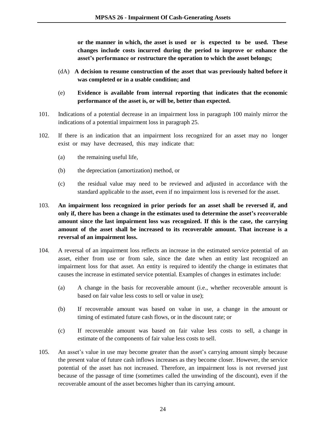**or the manner in which, the asset is used or is expected to be used. These changes include costs incurred during the period to improve or enhance the asset's performance or restructure the operation to which the asset belongs;**

- (dA) **A decision to resume construction of the asset that was previously halted before it was completed or in a usable condition; and**
- (e) **Evidence is available from internal reporting that indicates that the economic performance of the asset is, or will be, better than expected.**
- 101. Indications of a potential decrease in an impairment loss in paragraph 100 mainly mirror the indications of a potential impairment loss in paragraph 25.
- 102. If there is an indication that an impairment loss recognized for an asset may no longer exist or may have decreased, this may indicate that:
	- (a) the remaining useful life,
	- (b) the depreciation (amortization) method, or
	- (c) the residual value may need to be reviewed and adjusted in accordance with the standard applicable to the asset, even if no impairment loss is reversed for the asset.
- 103. **An impairment loss recognized in prior periods for an asset shall be reversed if, and only if, there has been a change in the estimates used to determine the asset's recoverable amount since the last impairment loss was recognized. If this is the case, the carrying amount of the asset shall be increased to its recoverable amount. That increase is a reversal of an impairment loss.**
- 104. A reversal of an impairment loss reflects an increase in the estimated service potential of an asset, either from use or from sale, since the date when an entity last recognized an impairment loss for that asset. An entity is required to identify the change in estimates that causes the increase in estimated service potential. Examples of changes in estimates include:
	- (a) A change in the basis for recoverable amount (i.e., whether recoverable amount is based on fair value less costs to sell or value in use);
	- (b) If recoverable amount was based on value in use, a change in the amount or timing of estimated future cash flows, or in the discount rate; or
	- (c) If recoverable amount was based on fair value less costs to sell, a change in estimate of the components of fair value less costs to sell.
- 105. An asset's value in use may become greater than the asset's carrying amount simply because the present value of future cash inflows increases as they become closer. However, the service potential of the asset has not increased. Therefore, an impairment loss is not reversed just because of the passage of time (sometimes called the unwinding of the discount), even if the recoverable amount of the asset becomes higher than its carrying amount.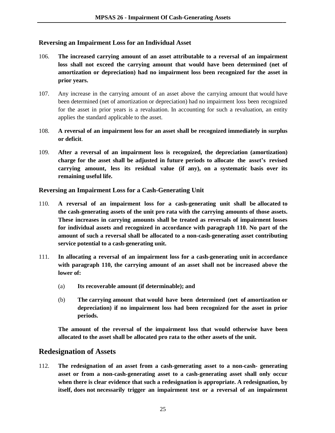CTOR

# **Reversing an Impairment Loss for an Individual Asset**

- ent<br>Public set 106. **The increased carrying amount of an asset attributable to a reversal of an impairment loss shall not exceed the carrying amount that would have been determined (net of amortization or depreciation) had no impairment loss been recognized for the asset in prior years.**
- 107. Any increase in the carrying amount of an asset above the carrying amount that would have been determined (net of amortization or depreciation) had no impairment loss been recognized for the asset in prior years is a revaluation. In accounting for such a revaluation, an entity applies the standard applicable to the asset.
- 108. **A reversal of an impairment loss for an asset shall be recognized immediately in surplus or deficit**.
- 109. **After a reversal of an impairment loss is recognized, the depreciation (amortization) charge for the asset shall be adjusted in future periods to allocate the asset's revised carrying amount, less its residual value (if any), on a systematic basis over its remaining useful life.**

## **Reversing an Impairment Loss for a Cash-Generating Unit**

- 110. **A reversal of an impairment loss for a cash-generating unit shall be allocated to the cash-generating assets of the unit pro rata with the carrying amounts of those assets. These increases in carrying amounts shall be treated as reversals of impairment losses for individual assets and recognized in accordance with paragraph 110. No part of the amount of such a reversal shall be allocated to a non-cash-generating asset contributing service potential to a cash-generating unit.**
- 111. **In allocating a reversal of an impairment loss for a cash-generating unit in accordance with paragraph 110, the carrying amount of an asset shall not be increased above the lower of:**
	- (a) **Its recoverable amount (if determinable); and**
	- (b) **The carrying amount that would have been determined (net of amortization or depreciation) if no impairment loss had been recognized for the asset in prior periods.**

**The amount of the reversal of the impairment loss that would otherwise have been allocated to the asset shall be allocated pro rata to the other assets of the unit.**

# **Redesignation of Assets**

112. **The redesignation of an asset from a cash-generating asset to a non-cash- generating asset or from a non-cash-generating asset to a cash-generating asset shall only occur when there is clear evidence that such a redesignation is appropriate. A redesignation, by itself, does not necessarily trigger an impairment test or a reversal of an impairment**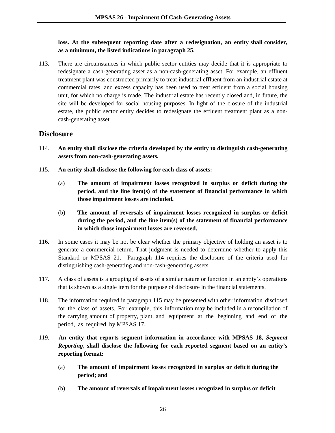**loss. At the subsequent reporting date after a redesignation, an entity shall consider, as a minimum, the listed indications in paragraph 25.**

113. There are circumstances in which public sector entities may decide that it is appropriate to redesignate a cash-generating asset as a non-cash-generating asset. For example, an effluent treatment plant was constructed primarily to treat industrial effluent from an industrial estate at commercial rates, and excess capacity has been used to treat effluent from a social housing unit, for which no charge is made. The industrial estate has recently closed and, in future, the site will be developed for social housing purposes. In light of the closure of the industrial estate, the public sector entity decides to redesignate the effluent treatment plant as a noncash-generating asset.

# **Disclosure**

- 114. **An entity shall disclose the criteria developed by the entity to distinguish cash-generating assets from non-cash-generating assets.**
- 115. **An entity shall disclose the following for each class of assets:**
	- (a) **The amount of impairment losses recognized in surplus or deficit during the period, and the line item(s) of the statement of financial performance in which those impairment losses are included.**
	- (b) **The amount of reversals of impairment losses recognized in surplus or deficit during the period, and the line item(s) of the statement of financial performance in which those impairment losses are reversed.**
- 116. In some cases it may be not be clear whether the primary objective of holding an asset is to generate a commercial return. That judgment is needed to determine whether to apply this Standard or MPSAS 21. Paragraph 114 requires the disclosure of the criteria used for distinguishing cash-generating and non-cash-generating assets.
- 117. A class of assets is a grouping of assets of a similar nature or function in an entity's operations that is shown as a single item for the purpose of disclosure in the financial statements.
- 118. The information required in paragraph 115 may be presented with other information disclosed for the class of assets. For example, this information may be included in a reconciliation of the carrying amount of property, plant, and equipment at the beginning and end of the period, as required by MPSAS 17.
- 119. **An entity that reports segment information in accordance with MPSAS 18,** *Segment Reporting***, shall disclose the following for each reported segment based on an entity's reporting format:**
	- (a) **The amount of impairment losses recognized in surplus or deficit during the period; and**
	- (b) **The amount of reversals of impairment losses recognized in surplus or deficit**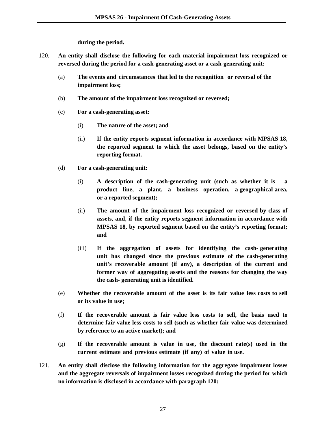**during the period.**

- 120. **An entity shall disclose the following for each material impairment loss recognized or reversed during the period for a cash-generating asset or a cash-generating unit:**
	- (a) **The events and circumstances that led to the recognition or reversal of the impairment loss;**
	- (b) **The amount of the impairment loss recognized or reversed;**
	- (c) **For a cash-generating asset:**
		- (i) **The nature of the asset; and**
		- (ii) **If the entity reports segment information in accordance with MPSAS 18, the reported segment to which the asset belongs, based on the entity's reporting format.**
	- (d) **For a cash-generating unit:**
		- (i) **A description of the cash-generating unit (such as whether it is a product line, a plant, a business operation, a geographical area, or a reported segment);**
		- (ii) **The amount of the impairment loss recognized or reversed by class of assets, and, if the entity reports segment information in accordance with MPSAS 18, by reported segment based on the entity's reporting format; and**
		- (iii) **If the aggregation of assets for identifying the cash- generating unit has changed since the previous estimate of the cash-generating unit's recoverable amount (if any), a description of the current and former way of aggregating assets and the reasons for changing the way the cash- generating unit is identified.**
	- (e) **Whether the recoverable amount of the asset is its fair value less costs to sell or its value in use;**
	- (f) **If the recoverable amount is fair value less costs to sell, the basis used to determine fair value less costs to sell (such as whether fair value was determined by reference to an active market); and**
	- (g) **If the recoverable amount is value in use, the discount rate(s) used in the current estimate and previous estimate (if any) of value in use.**
- 121. **An entity shall disclose the following information for the aggregate impairment losses and the aggregate reversals of impairment losses recognized during the period for which no information is disclosed in accordance with paragraph 120:**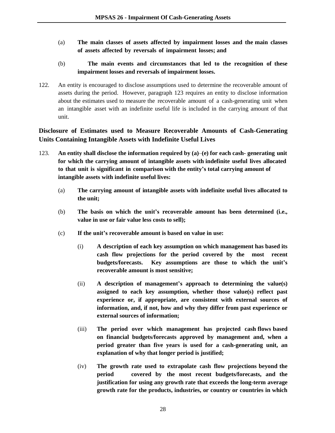- (a) **The main classes of assets affected by impairment losses and the main classes of assets affected by reversals of impairment losses; and**
- (b) **The main events and circumstances that led to the recognition of these impairment losses and reversals of impairment losses.**
- 122. An entity is encouraged to disclose assumptions used to determine the recoverable amount of assets during the period. However, paragraph 123 requires an entity to disclose information about the estimates used to measure the recoverable amount of a cash-generating unit when an intangible asset with an indefinite useful life is included in the carrying amount of that unit.

# **Disclosure of Estimates used to Measure Recoverable Amounts of Cash-Generating Units Containing Intangible Assets with Indefinite Useful Lives**

- 123. **An entity shall disclose the information required by (a)**–**(e) for each cash- generating unit for which the carrying amount of intangible assets with indefinite useful lives allocated to that unit is significant in comparison with the entity's total carrying amount of intangible assets with indefinite useful lives:**
	- (a) **The carrying amount of intangible assets with indefinite useful lives allocated to the unit;**
	- (b) **The basis on which the unit's recoverable amount has been determined (i.e., value in use or fair value less costs to sell);**
	- (c) **If the unit's recoverable amount is based on value in use:**
		- (i) **A description of each key assumption on which management has based its cash flow projections for the period covered by the most recent budgets/forecasts. Key assumptions are those to which the unit's recoverable amount is most sensitive;**
		- (ii) **A description of management's approach to determining the value(s) assigned to each key assumption, whether those value(s) reflect past experience or, if appropriate, are consistent with external sources of information, and, if not, how and why they differ from past experience or external sources of information;**
		- (iii) **The period over which management has projected cash flows based on financial budgets/forecasts approved by management and, when a period greater than five years is used for a cash-generating unit, an explanation of why that longer period is justified;**
		- (iv) **The growth rate used to extrapolate cash flow projections beyond the period covered by the most recent budgets/forecasts, and the justification for using any growth rate that exceeds the long-term average growth rate for the products, industries, or country or countries in which**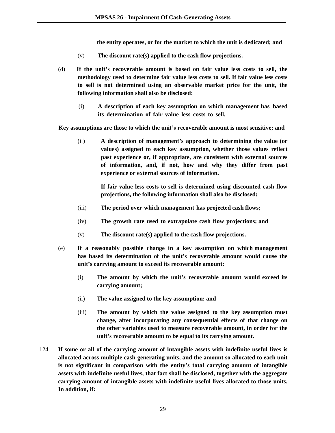**the entity operates, or for the market to which the unit is dedicated; and**

- (v) **The discount rate(s) applied to the cash flow projections.**
- (d) **If the unit's recoverable amount is based on fair value less costs to sell, the methodology used to determine fair value less costs to sell. If fair value less costs to sell is not determined using an observable market price for the unit, the following information shall also be disclosed:**
	- (i) **A description of each key assumption on which management has based its determination of fair value less costs to sell.**

**Key assumptions are those to which the unit's recoverable amount is most sensitive; and**

(ii) **A description of management's approach to determining the value (or values) assigned to each key assumption, whether those values reflect past experience or, if appropriate, are consistent with external sources of information, and, if not, how and why they differ from past experience or external sources of information.**

> **If fair value less costs to sell is determined using discounted cash flow projections, the following information shall also be disclosed:**

- (iii) **The period over which management has projected cash flows;**
- (iv) **The growth rate used to extrapolate cash flow projections; and**
- (v) **The discount rate(s) applied to the cash flow projections.**
- (e) **If a reasonably possible change in a key assumption on which management has based its determination of the unit's recoverable amount would cause the unit's carrying amount to exceed its recoverable amount:**
	- (i) **The amount by which the unit's recoverable amount would exceed its carrying amount;**
	- (ii) **The value assigned to the key assumption; and**
	- (iii) **The amount by which the value assigned to the key assumption must change, after incorporating any consequential effects of that change on the other variables used to measure recoverable amount, in order for the unit's recoverable amount to be equal to its carrying amount.**
- 124. **If some or all of the carrying amount of intangible assets with indefinite useful lives is allocated across multiple cash-generating units, and the amount so allocated to each unit is not significant in comparison with the entity's total carrying amount of intangible assets with indefinite useful lives, that fact shall be disclosed, together with the aggregate carrying amount of intangible assets with indefinite useful lives allocated to those units. In addition, if:**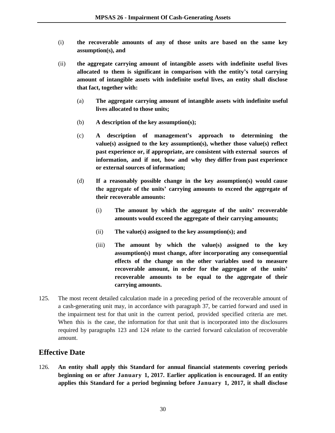- (i) **the recoverable amounts of any of those units are based on the same key assumption(s), and**
- (ii) **the aggregate carrying amount of intangible assets with indefinite useful lives allocated to them is significant in comparison with the entity's total carrying amount of intangible assets with indefinite useful lives, an entity shall disclose that fact, together with:**
	- (a) **The aggregate carrying amount of intangible assets with indefinite useful lives allocated to those units;**
	- (b) **A description of the key assumption(s);**
	- (c) **A description of management's approach to determining the value(s) assigned to the key assumption(s), whether those value(s) reflect past experience or, if appropriate, are consistent with external sources of information, and if not, how and why they differ from past experience or external sources of information;**
	- (d) **If a reasonably possible change in the key assumption(s) would cause the aggregate of the units' carrying amounts to exceed the aggregate of their recoverable amounts:**
		- (i) **The amount by which the aggregate of the units' recoverable amounts would exceed the aggregate of their carrying amounts;**
		- (ii) **The value(s) assigned to the key assumption(s); and**
		- (iii) **The amount by which the value(s) assigned to the key assumption(s) must change, after incorporating any consequential effects of the change on the other variables used to measure recoverable amount, in order for the aggregate of the units' recoverable amounts to be equal to the aggregate of their carrying amounts.**
- 125. The most recent detailed calculation made in a preceding period of the recoverable amount of a cash-generating unit may, in accordance with paragraph 37, be carried forward and used in the impairment test for that unit in the current period, provided specified criteria are met. When this is the case, the information for that unit that is incorporated into the disclosures required by paragraphs 123 and 124 relate to the carried forward calculation of recoverable amount.

# **Effective Date**

126. **An entity shall apply this Standard for annual financial statements covering periods beginning on or after January 1, 2017. Earlier application is encouraged. If an entity applies this Standard for a period beginning before January 1, 2017, it shall disclose**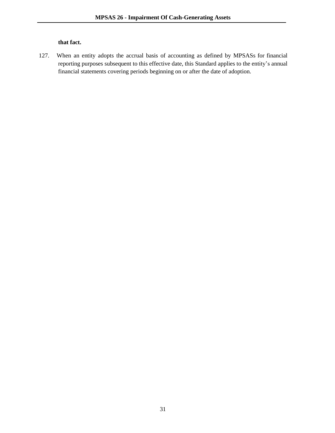# **that fact.**

127. When an entity adopts the accrual basis of accounting as defined by MPSASs for financial reporting purposes subsequent to this effective date, this Standard applies to the entity's annual financial statements covering periods beginning on or after the date of adoption.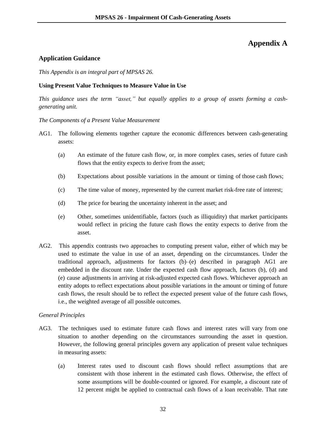# **Appendix A**

# **Application Guidance**

*This Appendix is an integral part of MPSAS 26.*

### **Using Present Value Techniques to Measure Value in Use**

*This guidance uses the term "asset," but equally applies to a group of assets forming a cashgenerating unit.*

#### *The Components of a Present Value Measurement*

- AG1. The following elements together capture the economic differences between cash-generating assets:
	- (a) An estimate of the future cash flow, or, in more complex cases, series of future cash flows that the entity expects to derive from the asset;
	- (b) Expectations about possible variations in the amount or timing of those cash flows;
	- (c) The time value of money, represented by the current market risk-free rate of interest;
	- (d) The price for bearing the uncertainty inherent in the asset; and
	- (e) Other, sometimes unidentifiable, factors (such as illiquidity) that market participants would reflect in pricing the future cash flows the entity expects to derive from the asset.
- AG2. This appendix contrasts two approaches to computing present value, either of which may be used to estimate the value in use of an asset, depending on the circumstances. Under the traditional approach, adjustments for factors (b)–(e) described in paragraph AG1 are embedded in the discount rate. Under the expected cash flow approach, factors (b), (d) and (e) cause adjustments in arriving at risk-adjusted expected cash flows. Whichever approach an entity adopts to reflect expectations about possible variations in the amount or timing of future cash flows, the result should be to reflect the expected present value of the future cash flows, i.e., the weighted average of all possible outcomes.

## *General Principles*

- AG3. The techniques used to estimate future cash flows and interest rates will vary from one situation to another depending on the circumstances surrounding the asset in question. However, the following general principles govern any application of present value techniques in measuring assets:
	- (a) Interest rates used to discount cash flows should reflect assumptions that are consistent with those inherent in the estimated cash flows. Otherwise, the effect of some assumptions will be double-counted or ignored. For example, a discount rate of 12 percent might be applied to contractual cash flows of a loan receivable. That rate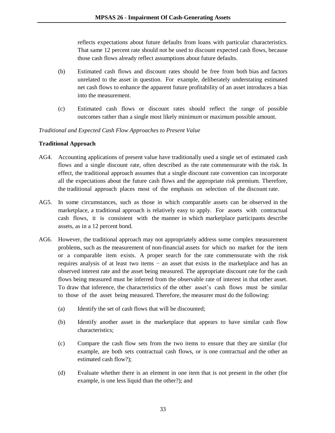reflects expectations about future defaults from loans with particular characteristics. That same 12 percent rate should not be used to discount expected cash flows, because those cash flows already reflect assumptions about future defaults.

- (b) Estimated cash flows and discount rates should be free from both bias and factors unrelated to the asset in question. For example, deliberately understating estimated net cash flows to enhance the apparent future profitability of an asset introduces a bias into the measurement.
- (c) Estimated cash flows or discount rates should reflect the range of possible outcomes rather than a single most likely minimum or maximum possible amount.

#### *Traditional and Expected Cash Flow Approaches to Present Value*

#### **Traditional Approach**

- AG4. Accounting applications of present value have traditionally used a single set of estimated cash flows and a single discount rate, often described as the rate commensurate with the risk. In effect, the traditional approach assumes that a single discount rate convention can incorporate all the expectations about the future cash flows and the appropriate risk premium. Therefore, the traditional approach places most of the emphasis on selection of the discount rate.
- AG5. In some circumstances, such as those in which comparable assets can be observed in the marketplace, a traditional approach is relatively easy to apply. For assets with contractual cash flows, it is consistent with the manner in which marketplace participants describe assets, as in a 12 percent bond.
- AG6. However, the traditional approach may not appropriately address some complex measurement problems, such as the measurement of non-financial assets for which no market for the item or a comparable item exists. A proper search for the rate commensurate with the risk requires analysis of at least two items − an asset that exists in the marketplace and has an observed interest rate and the asset being measured. The appropriate discount rate for the cash flows being measured must be inferred from the observable rate of interest in that other asset. To draw that inference, the characteristics of the other asset's cash flows must be similar to those of the asset being measured. Therefore, the measurer must do the following:
	- (a) Identify the set of cash flows that will be discounted;
	- (b) Identify another asset in the marketplace that appears to have similar cash flow characteristics;
	- (c) Compare the cash flow sets from the two items to ensure that they are similar (for example, are both sets contractual cash flows, or is one contractual and the other an estimated cash flow?);
	- (d) Evaluate whether there is an element in one item that is not present in the other (for example, is one less liquid than the other?); and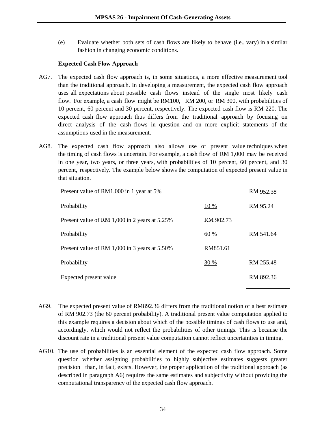(e) Evaluate whether both sets of cash flows are likely to behave (i.e., vary) in a similar fashion in changing economic conditions.

#### **Expected Cash Flow Approach**

- AG7. The expected cash flow approach is, in some situations, a more effective measurement tool than the traditional approach. In developing a measurement, the expected cash flow approach uses all expectations about possible cash flows instead of the single most likely cash flow. For example, a cash flow might be RM100, RM 200, or RM 300, with probabilities of 10 percent, 60 percent and 30 percent, respectively. The expected cash flow is RM 220. The expected cash flow approach thus differs from the traditional approach by focusing on direct analysis of the cash flows in question and on more explicit statements of the assumptions used in the measurement.
- AG8. The expected cash flow approach also allows use of present value techniques when the timing of cash flows is uncertain. For example, a cash flow of RM 1,000 may be received in one year, two years, or three years, with probabilities of 10 percent, 60 percent, and 30 percent, respectively. The example below shows the computation of expected present value in that situation.

| Present value of RM1,000 in 1 year at 5%      |           | RM 952.38 |
|-----------------------------------------------|-----------|-----------|
| Probability                                   | 10 %      | RM 95.24  |
| Present value of RM 1,000 in 2 years at 5.25% | RM 902.73 |           |
| Probability                                   | 60 %      | RM 541.64 |
| Present value of RM 1,000 in 3 years at 5.50% | RM851.61  |           |
| Probability                                   | 30 %      | RM 255.48 |
| Expected present value                        |           | RM 892.36 |

- AG9. The expected present value of RM892.36 differs from the traditional notion of a best estimate of RM 902.73 (the 60 percent probability). A traditional present value computation applied to this example requires a decision about which of the possible timings of cash flows to use and, accordingly, which would not reflect the probabilities of other timings. This is because the discount rate in a traditional present value computation cannot reflect uncertainties in timing.
- AG10. The use of probabilities is an essential element of the expected cash flow approach. Some question whether assigning probabilities to highly subjective estimates suggests greater precision than, in fact, exists. However, the proper application of the traditional approach (as described in paragraph A6) requires the same estimates and subjectivity without providing the computational transparency of the expected cash flow approach.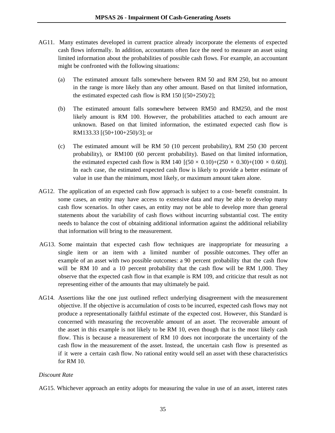- AG11. Many estimates developed in current practice already incorporate the elements of expected cash flows informally. In addition, accountants often face the need to measure an asset using limited information about the probabilities of possible cash flows. For example, an accountant might be confronted with the following situations:
	- (a) The estimated amount falls somewhere between RM 50 and RM 250, but no amount in the range is more likely than any other amount. Based on that limited information, the estimated expected cash flow is RM  $150$   $[(50+250)/2]$ ;
	- (b) The estimated amount falls somewhere between RM50 and RM250, and the most likely amount is RM 100. However, the probabilities attached to each amount are unknown. Based on that limited information, the estimated expected cash flow is RM133.33 [(50+100+250)/3]; or
	- (c) The estimated amount will be RM 50 (10 percent probability), RM 250 (30 percent probability), or RM100 (60 percent probability). Based on that limited information, the estimated expected cash flow is RM 140  $[(50 \times 0.10) + (250 \times 0.30) + (100 \times 0.60)].$ In each case, the estimated expected cash flow is likely to provide a better estimate of value in use than the minimum, most likely, or maximum amount taken alone.
- AG12. The application of an expected cash flow approach is subject to a cost- benefit constraint. In some cases, an entity may have access to extensive data and may be able to develop many cash flow scenarios. In other cases, an entity may not be able to develop more than general statements about the variability of cash flows without incurring substantial cost. The entity needs to balance the cost of obtaining additional information against the additional reliability that information will bring to the measurement.
- AG13. Some maintain that expected cash flow techniques are inappropriate for measuring a single item or an item with a limited number of possible outcomes. They offer an example of an asset with two possible outcomes: a 90 percent probability that the cash flow will be RM 10 and a 10 percent probability that the cash flow will be RM 1,000. They observe that the expected cash flow in that example is RM 109, and criticize that result as not representing either of the amounts that may ultimately be paid.
- AG14. Assertions like the one just outlined reflect underlying disagreement with the measurement objective. If the objective is accumulation of costs to be incurred, expected cash flows may not produce a representationally faithful estimate of the expected cost. However, this Standard is concerned with measuring the recoverable amount of an asset. The recoverable amount of the asset in this example is not likely to be RM 10, even though that is the most likely cash flow. This is because a measurement of RM 10 does not incorporate the uncertainty of the cash flow in the measurement of the asset. Instead, the uncertain cash flow is presented as if it were a certain cash flow. No rational entity would sell an asset with these characteristics for RM 10.

## *Discount Rate*

AG15. Whichever approach an entity adopts for measuring the value in use of an asset, interest rates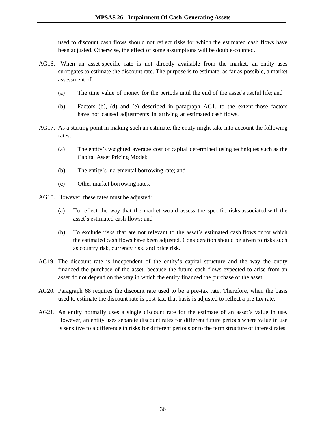used to discount cash flows should not reflect risks for which the estimated cash flows have been adjusted. Otherwise, the effect of some assumptions will be double-counted.

- AG16. When an asset-specific rate is not directly available from the market, an entity uses surrogates to estimate the discount rate. The purpose is to estimate, as far as possible, a market assessment of:
	- (a) The time value of money for the periods until the end of the asset's useful life; and
	- (b) Factors (b), (d) and (e) described in paragraph AG1, to the extent those factors have not caused adjustments in arriving at estimated cash flows.
- AG17. As a starting point in making such an estimate, the entity might take into account the following rates:
	- (a) The entity's weighted average cost of capital determined using techniques such as the Capital Asset Pricing Model;
	- (b) The entity's incremental borrowing rate; and
	- (c) Other market borrowing rates.
- AG18. However, these rates must be adjusted:
	- (a) To reflect the way that the market would assess the specific risks associated with the asset's estimated cash flows; and
	- (b) To exclude risks that are not relevant to the asset's estimated cash flows or for which the estimated cash flows have been adjusted. Consideration should be given to risks such as country risk, currency risk, and price risk.
- AG19. The discount rate is independent of the entity's capital structure and the way the entity financed the purchase of the asset, because the future cash flows expected to arise from an asset do not depend on the way in which the entity financed the purchase of the asset.
- AG20. Paragraph 68 requires the discount rate used to be a pre-tax rate. Therefore, when the basis used to estimate the discount rate is post-tax, that basis is adjusted to reflect a pre-tax rate.
- AG21. An entity normally uses a single discount rate for the estimate of an asset's value in use. However, an entity uses separate discount rates for different future periods where value in use is sensitive to a difference in risks for different periods or to the term structure of interest rates.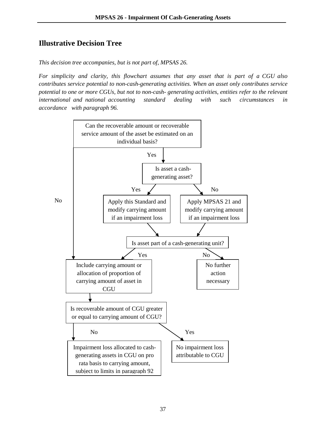# **Illustrative Decision Tree**

*This decision tree accompanies, but is not part of, MPSAS 26.*

*For simplicity and clarity, this flowchart assumes that any asset that is part of a CGU also contributes service potential to non-cash-generating activities. When an asset only contributes service potential to one or more CGUs, but not to non-cash- generating activities, entities refer to the relevant international and national accounting standard dealing with such circumstances in accordance with paragraph 96.*

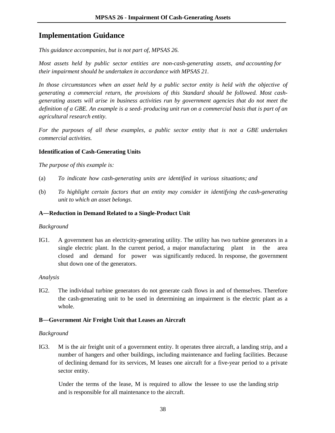# **Implementation Guidance**

*This guidance accompanies, but is not part of, MPSAS 26.*

*Most assets held by public sector entities are non-cash-generating assets, and accounting for their impairment should be undertaken in accordance with MPSAS 21.*

*In those circumstances when an asset held by a public sector entity is held with the objective of generating a commercial return, the provisions of this Standard should be followed. Most cashgenerating assets will arise in business activities run by government agencies that do not meet the definition of a GBE. An example is a seed- producing unit run on a commercial basis that is part of an agricultural research entity.*

*For the purposes of all these examples, a public sector entity that is not a GBE undertakes commercial activities.*

## **Identification of Cash-Generating Units**

*The purpose of this example is:*

- (a) *To indicate how cash-generating units are identified in various situations; and*
- (b) *To highlight certain factors that an entity may consider in identifying the cash-generating unit to which an asset belongs.*

### **A―Reduction in Demand Related to a Single-Product Unit**

#### *Background*

IG1. A government has an electricity-generating utility. The utility has two turbine generators in a single electric plant. In the current period, a major manufacturing plant in the area closed and demand for power was significantly reduced. In response, the government shut down one of the generators.

#### *Analysis*

IG2. The individual turbine generators do not generate cash flows in and of themselves. Therefore the cash-generating unit to be used in determining an impairment is the electric plant as a whole.

## **B―Government Air Freight Unit that Leases an Aircraft**

#### *Background*

IG3. M is the air freight unit of a government entity. It operates three aircraft, a landing strip, and a number of hangers and other buildings, including maintenance and fueling facilities. Because of declining demand for its services, M leases one aircraft for a five-year period to a private sector entity.

Under the terms of the lease, M is required to allow the lessee to use the landing strip and is responsible for all maintenance to the aircraft.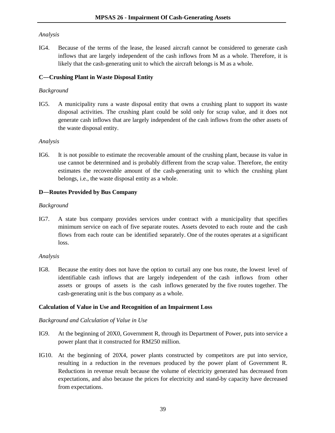#### *Analysis*

IG4. Because of the terms of the lease, the leased aircraft cannot be considered to generate cash inflows that are largely independent of the cash inflows from M as a whole. Therefore, it is likely that the cash-generating unit to which the aircraft belongs is M as a whole.

# **C―Crushing Plant in Waste Disposal Entity**

### *Background*

IG5. A municipality runs a waste disposal entity that owns a crushing plant to support its waste disposal activities. The crushing plant could be sold only for scrap value, and it does not generate cash inflows that are largely independent of the cash inflows from the other assets of the waste disposal entity.

#### *Analysis*

IG6. It is not possible to estimate the recoverable amount of the crushing plant, because its value in use cannot be determined and is probably different from the scrap value. Therefore, the entity estimates the recoverable amount of the cash-generating unit to which the crushing plant belongs, i.e., the waste disposal entity as a whole.

## **D―Routes Provided by Bus Company**

#### *Background*

IG7. A state bus company provides services under contract with a municipality that specifies minimum service on each of five separate routes. Assets devoted to each route and the cash flows from each route can be identified separately. One of the routes operates at a significant loss.

#### *Analysis*

IG8. Because the entity does not have the option to curtail any one bus route, the lowest level of identifiable cash inflows that are largely independent of the cash inflows from other assets or groups of assets is the cash inflows generated by the five routes together. The cash-generating unit is the bus company as a whole.

## **Calculation of Value in Use and Recognition of an Impairment Loss**

## *Background and Calculation of Value in Use*

- IG9. At the beginning of 20X0, Government R, through its Department of Power, puts into service a power plant that it constructed for RM250 million.
- IG10. At the beginning of 20X4, power plants constructed by competitors are put into service, resulting in a reduction in the revenues produced by the power plant of Government R. Reductions in revenue result because the volume of electricity generated has decreased from expectations, and also because the prices for electricity and stand-by capacity have decreased from expectations.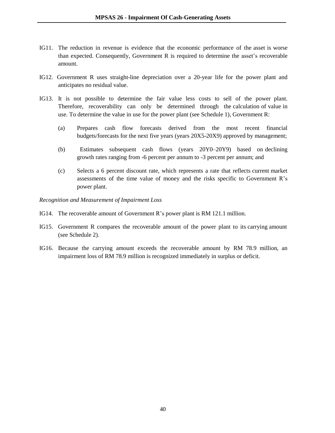- IG11. The reduction in revenue is evidence that the economic performance of the asset is worse than expected. Consequently, Government R is required to determine the asset's recoverable amount.
- IG12. Government R uses straight-line depreciation over a 20-year life for the power plant and anticipates no residual value.
- IG13. It is not possible to determine the fair value less costs to sell of the power plant. Therefore, recoverability can only be determined through the calculation of value in use. To determine the value in use for the power plant (see Schedule 1), Government R:
	- (a) Prepares cash flow forecasts derived from the most recent financial budgets/forecasts for the next five years (years 20X5-20X9) approved by management;
	- (b) Estimates subsequent cash flows (years 20Y0–20Y9) based on declining growth rates ranging from -6 percent per annum to -3 percent per annum; and
	- (c) Selects a 6 percent discount rate, which represents a rate that reflects current market assessments of the time value of money and the risks specific to Government R's power plant.

*Recognition and Measurement of Impairment Loss*

- IG14. The recoverable amount of Government R's power plant is RM 121.1 million.
- IG15. Government R compares the recoverable amount of the power plant to its carrying amount (see Schedule 2).
- IG16. Because the carrying amount exceeds the recoverable amount by RM 78.9 million, an impairment loss of RM 78.9 million is recognized immediately in surplus or deficit.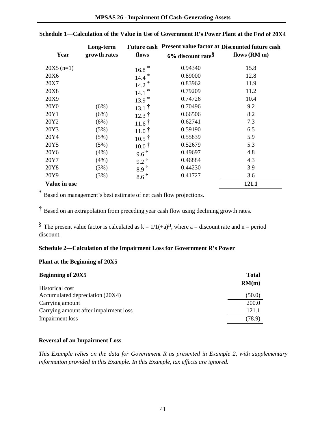|                  | Long-term    |                           | Future cash Present value factor at Discounted future cash |              |  |
|------------------|--------------|---------------------------|------------------------------------------------------------|--------------|--|
| Year             | growth rates | flows                     | $6\%$ discount rate <sup>§</sup>                           | flows (RM m) |  |
| $20X5(n=1)$      |              | $16.8*$                   | 0.94340                                                    | 15.8         |  |
| 20X6             |              | $14.4*$                   | 0.89000                                                    | 12.8         |  |
| 20X7             |              | 14.2                      | 0.83962                                                    | 11.9         |  |
| 20X8             |              | 14.1                      | 0.79209                                                    | 11.2         |  |
| 20X9             |              | $13.9*$                   | 0.74726                                                    | 10.4         |  |
| 20Y <sub>0</sub> | (6%)         | $13.1 \text{ }^{\dagger}$ | 0.70496                                                    | 9.2          |  |
| 20Y1             | (6%)         | $12.3 \text{ }^{\dagger}$ | 0.66506                                                    | 8.2          |  |
| 20Y <sub>2</sub> | (6%)         | $11.6$ <sup>†</sup>       | 0.62741                                                    | 7.3          |  |
| 20Y3             | (5%)         | $11.0$ <sup>†</sup>       | 0.59190                                                    | 6.5          |  |
| 20Y4             | (5%)         | $10.5 \text{ }^{\dagger}$ | 0.55839                                                    | 5.9          |  |
| 20Y5             | (5%)         | $10.0^{\dagger}$          | 0.52679                                                    | 5.3          |  |
| 20Y6             | (4%)         | 9.6                       | 0.49697                                                    | 4.8          |  |
| 20Y7             | (4%)         | $9.2 \,$ †                | 0.46884                                                    | 4.3          |  |
| 20Y8             | (3%)         | $8.9\text{ }^{\dagger}$   | 0.44230                                                    | 3.9          |  |
| 20Y9             | (3%)         | 8.6                       | 0.41727                                                    | 3.6          |  |
| Value in use     |              |                           |                                                            | 121.1        |  |

**Schedule 1―Calculation of the Value in Use of Government R's Power Plant at the End of 20X4**

\* Based on management's best estimate of net cash flow projections.

† Based on an extrapolation from preceding year cash flow using declining growth rates.

§ The present value factor is calculated as  $k = 1/1(+a)^n$ , where a = discount rate and n = period discount.

#### **Schedule 2―Calculation of the Impairment Loss for Government R's Power**

## **Plant at the Beginning of 20X5**

| <b>Beginning of 20X5</b>              | <b>Total</b> |
|---------------------------------------|--------------|
| Historical cost                       | RM(m)        |
| Accumulated depreciation (20X4)       | (50.0)       |
| Carrying amount                       | 200.0        |
| Carrying amount after impairment loss | 121.1        |
| Impairment loss                       | (78.9)       |

#### **Reversal of an Impairment Loss**

*This Example relies on the data for Government R as presented in Example 2, with supplementary information provided in this Example. In this Example, tax effects are ignored.*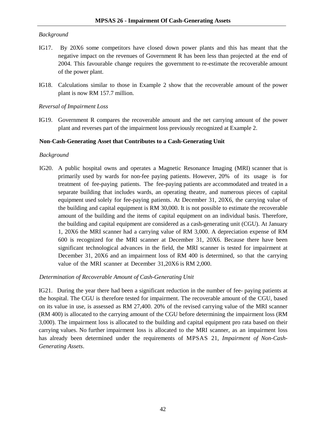#### *Background*

- IG17. By 20X6 some competitors have closed down power plants and this has meant that the negative impact on the revenues of Government R has been less than projected at the end of 2004. This favourable change requires the government to re-estimate the recoverable amount of the power plant.
- IG18. Calculations similar to those in Example 2 show that the recoverable amount of the power plant is now RM 157.7 million.

#### *Reversal of Impairment Loss*

IG19. Government R compares the recoverable amount and the net carrying amount of the power plant and reverses part of the impairment loss previously recognized at Example 2.

## **Non-Cash-Generating Asset that Contributes to a Cash-Generating Unit**

#### *Background*

IG20. A public hospital owns and operates a Magnetic Resonance Imaging (MRI) scanner that is primarily used by wards for non-fee paying patients. However, 20% of its usage is for treatment of fee-paying patients. The fee-paying patients are accommodated and treated in a separate building that includes wards, an operating theatre, and numerous pieces of capital equipment used solely for fee-paying patients. At December 31, 20X6, the carrying value of the building and capital equipment is RM 30,000. It is not possible to estimate the recoverable amount of the building and the items of capital equipment on an individual basis. Therefore, the building and capital equipment are considered as a cash-generating unit (CGU). At January 1, 20X6 the MRI scanner had a carrying value of RM 3,000. A depreciation expense of RM 600 is recognized for the MRI scanner at December 31, 20X6. Because there have been significant technological advances in the field, the MRI scanner is tested for impairment at December 31, 20X6 and an impairment loss of RM 400 is determined, so that the carrying value of the MRI scanner at December 31,20X6 is RM 2,000.

#### *Determination of Recoverable Amount of Cash-Generating Unit*

IG21. During the year there had been a significant reduction in the number of fee- paying patients at the hospital. The CGU is therefore tested for impairment. The recoverable amount of the CGU, based on its value in use, is assessed as RM 27,400. 20% of the revised carrying value of the MRI scanner (RM 400) is allocated to the carrying amount of the CGU before determining the impairment loss (RM 3,000). The impairment loss is allocated to the building and capital equipment pro rata based on their carrying values. No further impairment loss is allocated to the MRI scanner, as an impairment loss has already been determined under the requirements of MPSAS 21, *Impairment of Non-Cash-Generating Assets*.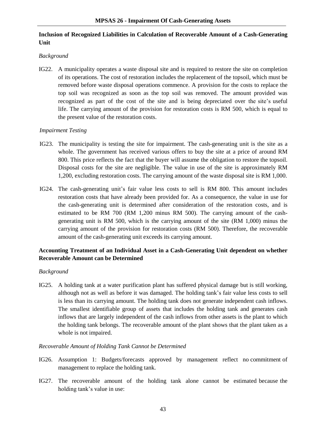### **Inclusion of Recognized Liabilities in Calculation of Recoverable Amount of a Cash-Generating Unit**

#### *Background*

IG22. A municipality operates a waste disposal site and is required to restore the site on completion of its operations. The cost of restoration includes the replacement of the topsoil, which must be removed before waste disposal operations commence. A provision for the costs to replace the top soil was recognized as soon as the top soil was removed. The amount provided was recognized as part of the cost of the site and is being depreciated over the site's useful life. The carrying amount of the provision for restoration costs is RM 500, which is equal to the present value of the restoration costs.

#### *Impairment Testing*

- IG23. The municipality is testing the site for impairment. The cash-generating unit is the site as a whole. The government has received various offers to buy the site at a price of around RM 800. This price reflects the fact that the buyer will assume the obligation to restore the topsoil. Disposal costs for the site are negligible. The value in use of the site is approximately RM 1,200, excluding restoration costs. The carrying amount of the waste disposal site is RM 1,000.
- IG24. The cash-generating unit's fair value less costs to sell is RM 800. This amount includes restoration costs that have already been provided for. As a consequence, the value in use for the cash-generating unit is determined after consideration of the restoration costs, and is estimated to be RM 700 (RM 1,200 minus RM 500). The carrying amount of the cashgenerating unit is RM 500, which is the carrying amount of the site (RM 1,000) minus the carrying amount of the provision for restoration costs (RM 500). Therefore, the recoverable amount of the cash-generating unit exceeds its carrying amount.

# **Accounting Treatment of an Individual Asset in a Cash-Generating Unit dependent on whether Recoverable Amount can be Determined**

#### *Background*

IG25. A holding tank at a water purification plant has suffered physical damage but is still working, although not as well as before it was damaged. The holding tank's fair value less costs to sell is less than its carrying amount. The holding tank does not generate independent cash inflows. The smallest identifiable group of assets that includes the holding tank and generates cash inflows that are largely independent of the cash inflows from other assets is the plant to which the holding tank belongs. The recoverable amount of the plant shows that the plant taken as a whole is not impaired.

#### *Recoverable Amount of Holding Tank Cannot be Determined*

- IG26. Assumption 1: Budgets/forecasts approved by management reflect no commitment of management to replace the holding tank.
- IG27. The recoverable amount of the holding tank alone cannot be estimated because the holding tank's value in use: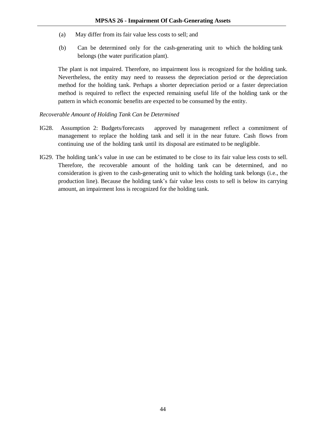- (a) May differ from its fair value less costs to sell; and
- (b) Can be determined only for the cash-generating unit to which the holding tank belongs (the water purification plant).

The plant is not impaired. Therefore, no impairment loss is recognized for the holding tank. Nevertheless, the entity may need to reassess the depreciation period or the depreciation method for the holding tank. Perhaps a shorter depreciation period or a faster depreciation method is required to reflect the expected remaining useful life of the holding tank or the pattern in which economic benefits are expected to be consumed by the entity.

#### *Recoverable Amount of Holding Tank Can be Determined*

- IG28. Assumption 2: Budgets/forecasts approved by management reflect a commitment of management to replace the holding tank and sell it in the near future. Cash flows from continuing use of the holding tank until its disposal are estimated to be negligible.
- IG29. The holding tank's value in use can be estimated to be close to its fair value less costs to sell. Therefore, the recoverable amount of the holding tank can be determined, and no consideration is given to the cash-generating unit to which the holding tank belongs (i.e., the production line). Because the holding tank's fair value less costs to sell is below its carrying amount, an impairment loss is recognized for the holding tank.